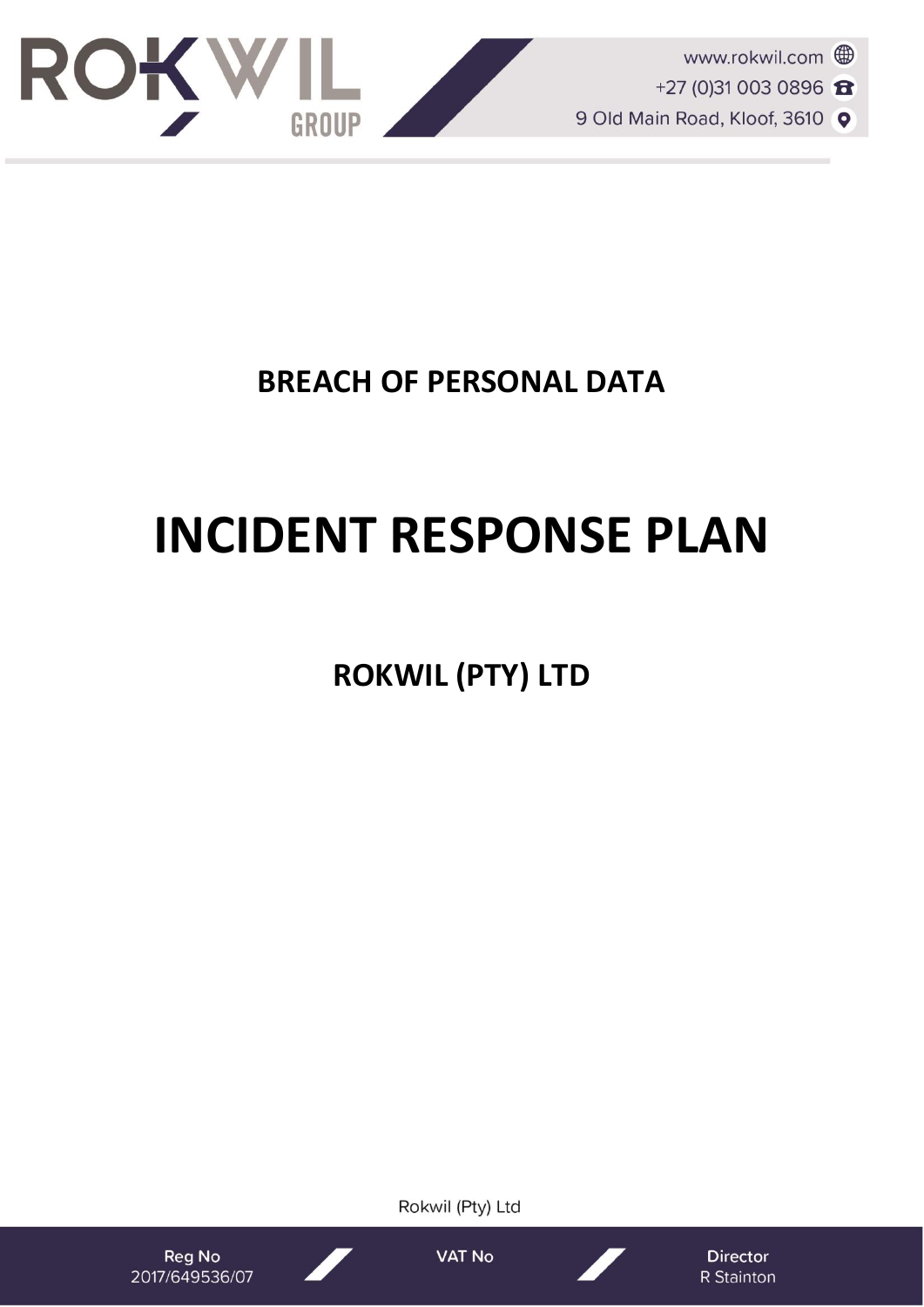

# **BREACH OF PERSONAL DATA**

# **INCIDENT RESPONSE PLAN**

**ROKWIL (PTY) LTD**

Reg No

2017/649536/07

**VAT No** 

Rokwil (Pty) Ltd

**Director** R Stainton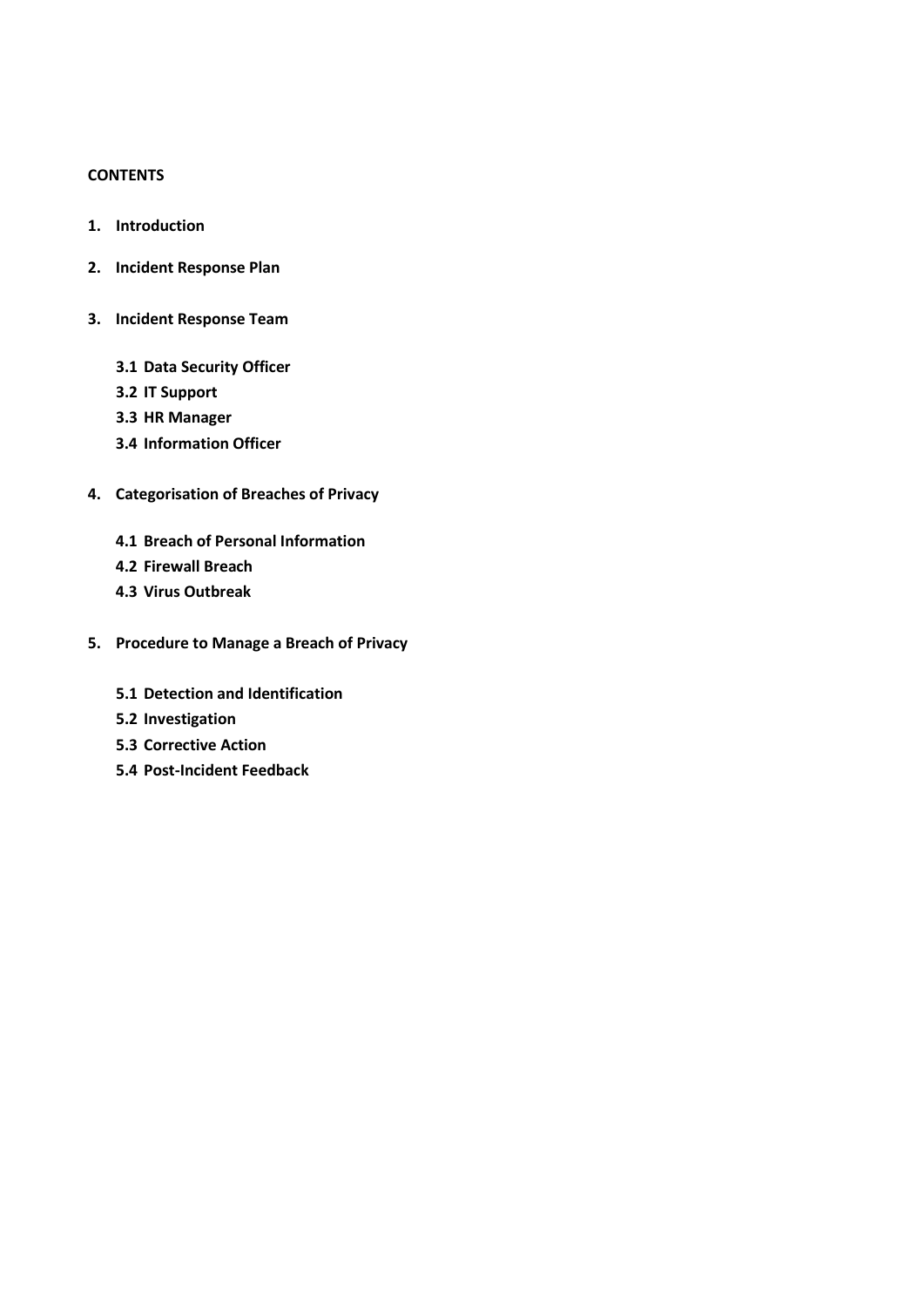# **CONTENTS**

- **1. Introduction**
- **2. Incident Response Plan**
- **3. Incident Response Team**
	- **3.1 Data Security Officer**
	- **3.2 IT Support**
	- **3.3 HR Manager**
	- **3.4 Information Officer**
- **4. Categorisation of Breaches of Privacy**
	- **4.1 Breach of Personal Information**
	- **4.2 Firewall Breach**
	- **4.3 Virus Outbreak**
- **5. Procedure to Manage a Breach of Privacy**
	- **5.1 Detection and Identification**
	- **5.2 Investigation**
	- **5.3 Corrective Action**
	- **5.4 Post-Incident Feedback**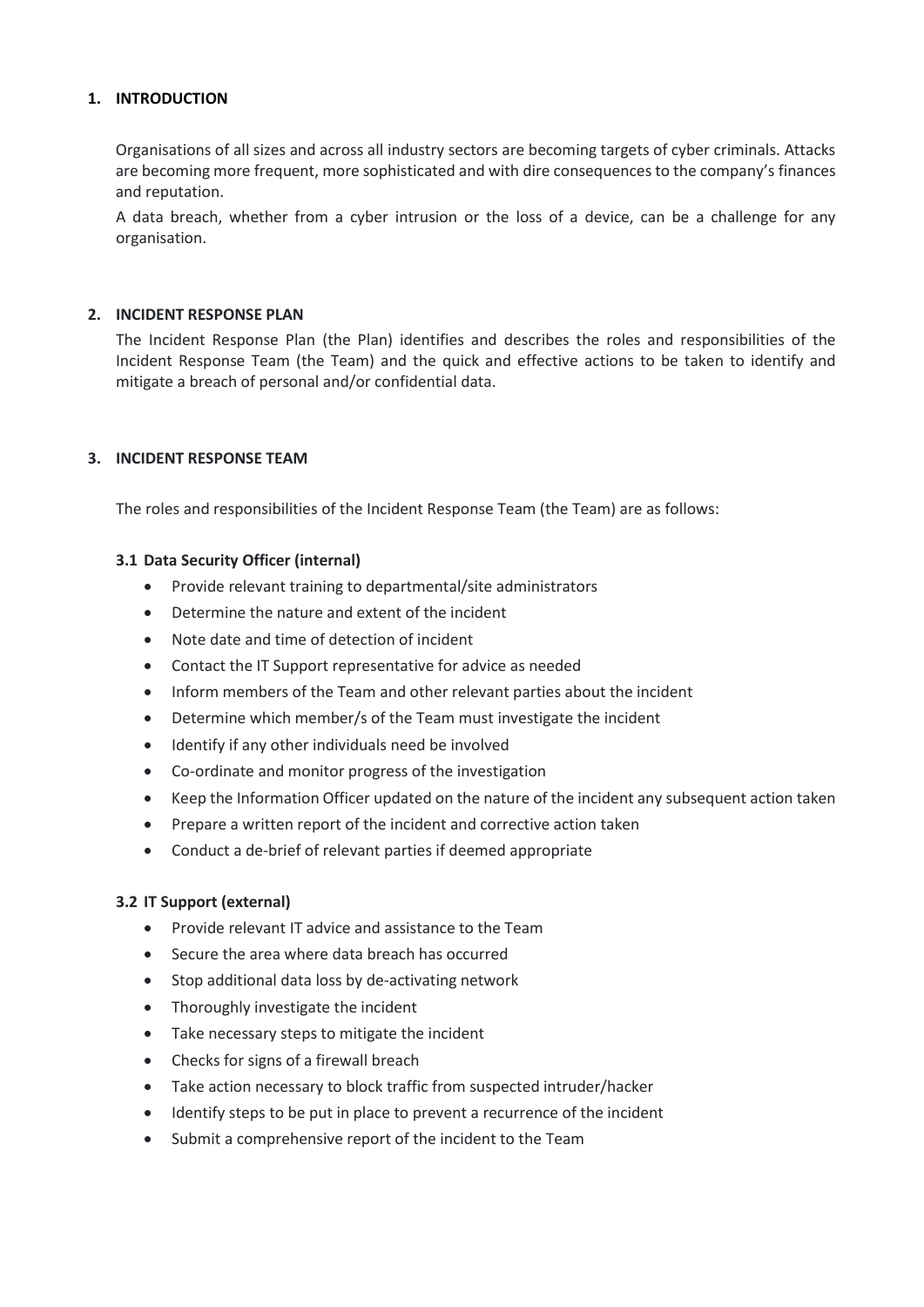# **1. INTRODUCTION**

Organisations of all sizes and across all industry sectors are becoming targets of cyber criminals. Attacks are becoming more frequent, more sophisticated and with dire consequences to the company's finances and reputation.

A data breach, whether from a cyber intrusion or the loss of a device, can be a challenge for any organisation.

# **2. INCIDENT RESPONSE PLAN**

The Incident Response Plan (the Plan) identifies and describes the roles and responsibilities of the Incident Response Team (the Team) and the quick and effective actions to be taken to identify and mitigate a breach of personal and/or confidential data.

# **3. INCIDENT RESPONSE TEAM**

The roles and responsibilities of the Incident Response Team (the Team) are as follows:

# **3.1 Data Security Officer (internal)**

- Provide relevant training to departmental/site administrators
- Determine the nature and extent of the incident
- Note date and time of detection of incident
- Contact the IT Support representative for advice as needed
- Inform members of the Team and other relevant parties about the incident
- Determine which member/s of the Team must investigate the incident
- Identify if any other individuals need be involved
- Co-ordinate and monitor progress of the investigation
- Keep the Information Officer updated on the nature of the incident any subsequent action taken
- Prepare a written report of the incident and corrective action taken
- Conduct a de-brief of relevant parties if deemed appropriate

# **3.2 IT Support (external)**

- Provide relevant IT advice and assistance to the Team
- Secure the area where data breach has occurred
- Stop additional data loss by de-activating network
- Thoroughly investigate the incident
- Take necessary steps to mitigate the incident
- Checks for signs of a firewall breach
- Take action necessary to block traffic from suspected intruder/hacker
- Identify steps to be put in place to prevent a recurrence of the incident
- Submit a comprehensive report of the incident to the Team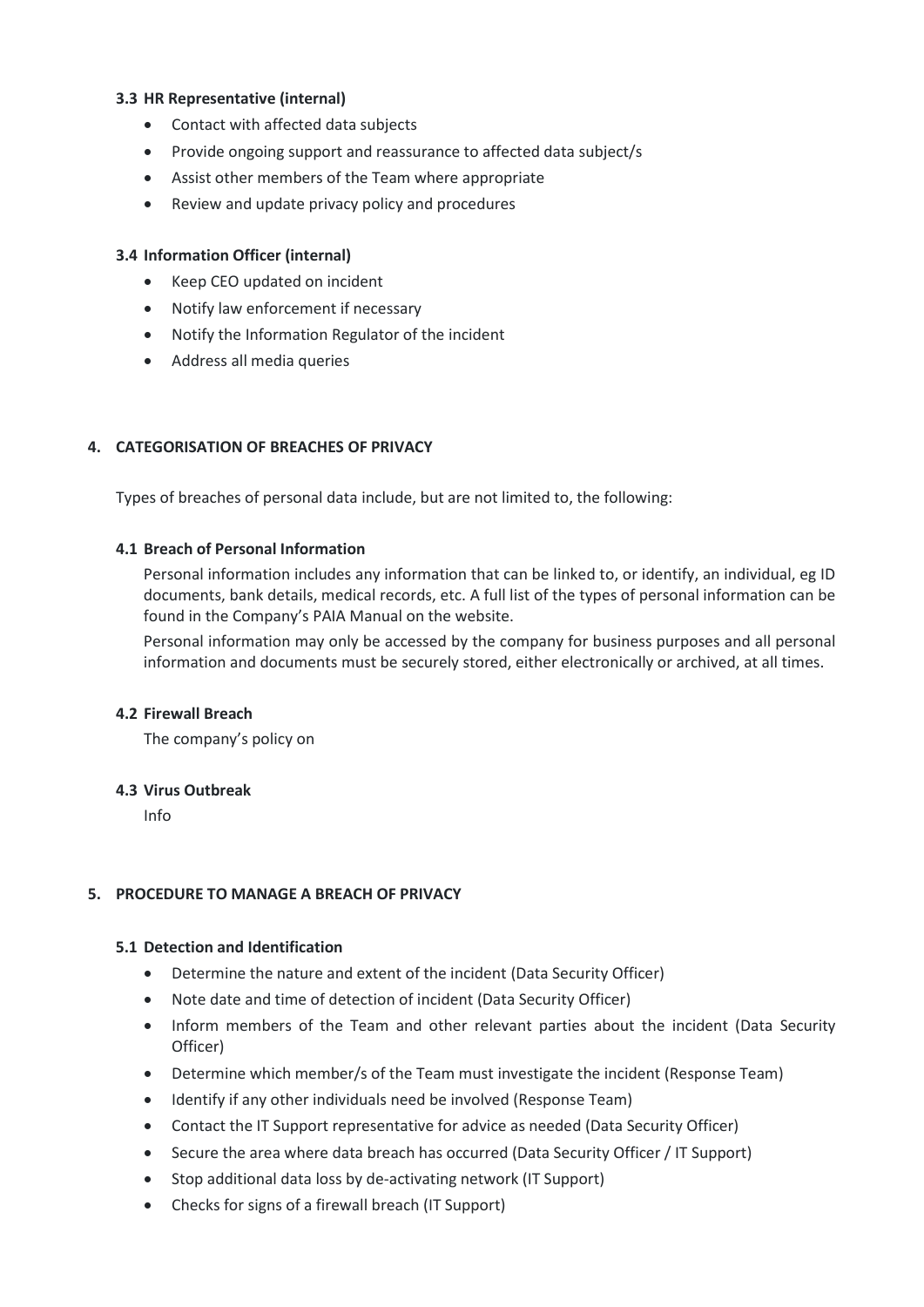# **3.3 HR Representative (internal)**

- Contact with affected data subjects
- Provide ongoing support and reassurance to affected data subject/s
- Assist other members of the Team where appropriate
- Review and update privacy policy and procedures

#### **3.4 Information Officer (internal)**

- Keep CEO updated on incident
- Notify law enforcement if necessary
- Notify the Information Regulator of the incident
- Address all media queries

# **4. CATEGORISATION OF BREACHES OF PRIVACY**

Types of breaches of personal data include, but are not limited to, the following:

#### **4.1 Breach of Personal Information**

Personal information includes any information that can be linked to, or identify, an individual, eg ID documents, bank details, medical records, etc. A full list of the types of personal information can be found in the Company's PAIA Manual on the website.

Personal information may only be accessed by the company for business purposes and all personal information and documents must be securely stored, either electronically or archived, at all times.

#### **4.2 Firewall Breach**

The company's policy on

#### **4.3 Virus Outbreak**

Info

# **5. PROCEDURE TO MANAGE A BREACH OF PRIVACY**

# **5.1 Detection and Identification**

- Determine the nature and extent of the incident (Data Security Officer)
- Note date and time of detection of incident (Data Security Officer)
- Inform members of the Team and other relevant parties about the incident (Data Security Officer)
- Determine which member/s of the Team must investigate the incident (Response Team)
- Identify if any other individuals need be involved (Response Team)
- Contact the IT Support representative for advice as needed (Data Security Officer)
- Secure the area where data breach has occurred (Data Security Officer / IT Support)
- Stop additional data loss by de-activating network (IT Support)
- Checks for signs of a firewall breach (IT Support)